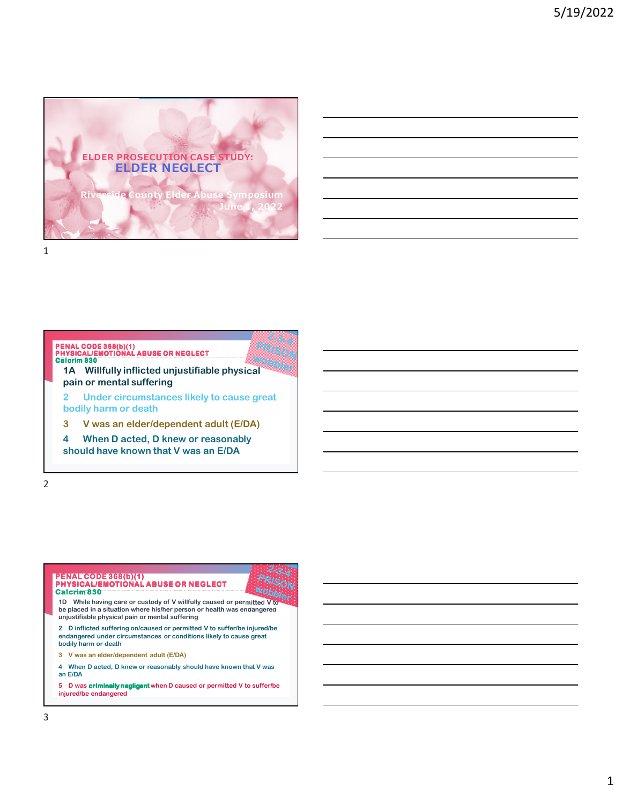

# **1A Willfully inflicted unjustifiable physical pain or mental suffering 2 Under circumstances likely to cause great bodily harm or death PENAL CODE 368(b)(1) PHYSICAL/EMOTIONAL ABUSE OR NEGLECT Calcrim 830**

**3 V was an elder/dependent adult (E/DA)**

**4 When D acted, D knew or reasonably should have known that V was an E/DA**

2



**5 D was criminally negligent when D caused or permitted V to suffer/be injured/be endangered**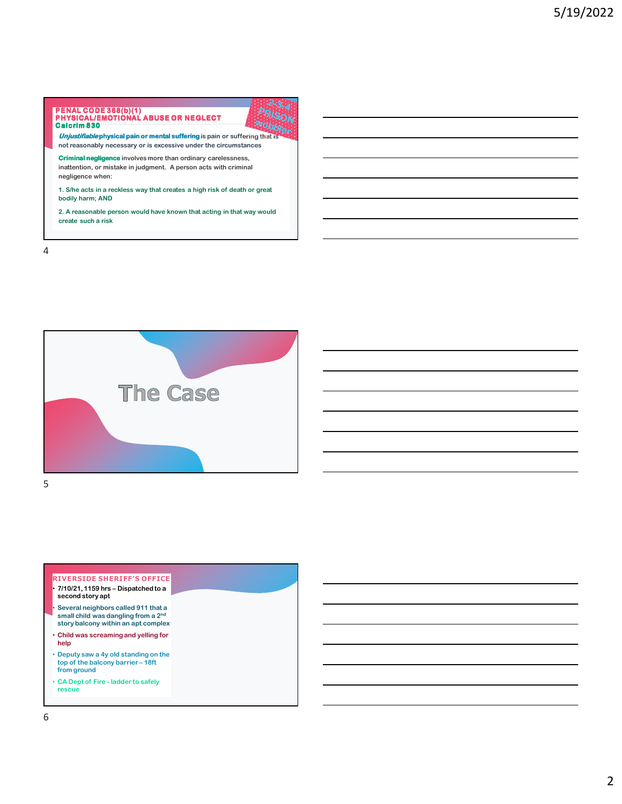

**1. S/he acts in a reckless way that creates a high risk of death or great bodily harm; AND**

**2. A reasonable person would have known that acting in that way would create such a risk**

4



#### **RIVERSIDE SHERIFF'S OFFICE** • **7/10/21, 1159 hrs – Dispatched to a second story apt** • **Several neighbors called 911 that a small child was dangling from a 2nd story balcony within an apt complex** • **Child was screaming and yelling for help**

- **Deputy saw a 4y old standing on the top of the balcony barrier – 18ft from ground**
- **CA Dept of Fire ladder to safely rescue**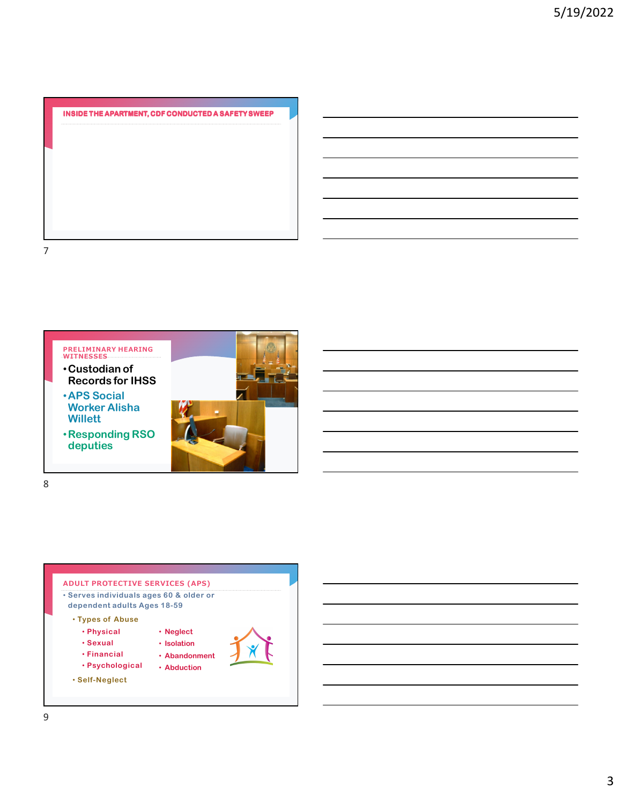

**PRELIMINARY HEARING WITNESSES** •**Custodian of Records for IHSS** •**APS Social Worker Alisha Willett** •**Responding RSO deputies**





8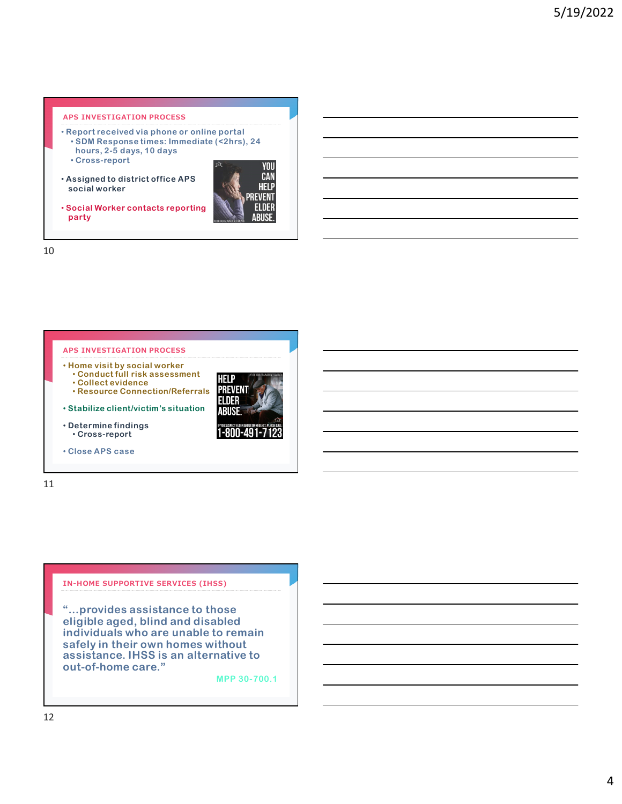### **APS INVESTIGATION PROCESS**

- **Report received via phone or online portal** • **SDM Response times: Immediate (<2hrs), 24 hours, 2-5 days, 10 days** • **Cross-report**
- **Assigned to district office APS social worker**



• **Social Worker contacts reporting party**

10



11

### **IN-HOME SUPPORTIVE SERVICES (IHSS)**

**"…provides assistance to those eligible aged, blind and disabled individuals who are unable to remain safely in their own homes without assistance. IHSS is an alternative to out-of-home care."** 

**MPP 30-700.1**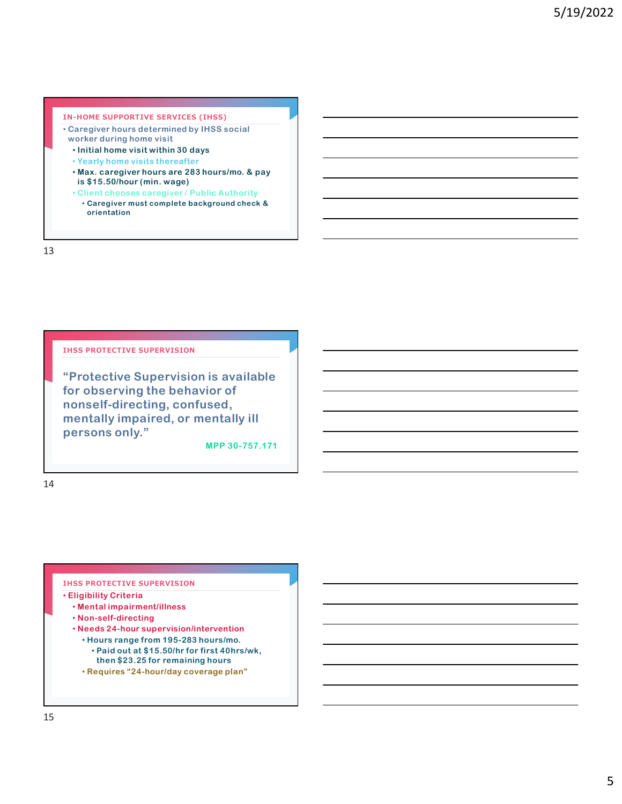## **IN-HOME SUPPORTIVE SERVICES (IHSS)**

- **Caregiver hours determined by IHSS social worker during home visit** 
	- **Initial home visit within 30 days**
	- **Yearly home visits thereafter**
	- **Max. caregiver hours are 283 hours/mo. & pay is \$15.50/hour (min. wage)**
	- **Client chooses caregiver / Public Authority**
	- **Caregiver must complete background check & orientation**

13

### **IHSS PROTECTIVE SUPERVISION**

**"Protective Supervision is available for observing the behavior of nonself-directing, confused, mentally impaired, or mentally ill persons only."** 

**MPP 30-757.171**

14

### **IHSS PROTECTIVE SUPERVISION**

- **Eligibility Criteria**
	- **Mental impairment/illness**
	- **Non-self-directing**
	- **Needs 24-hour supervision/intervention**
	- **Hours range from 195-283 hours/mo.**
		- **Paid out at \$15.50/hr for first 40hrs/wk, then \$23.25 for remaining hours**
	- **Requires "24-hour/day coverage plan"**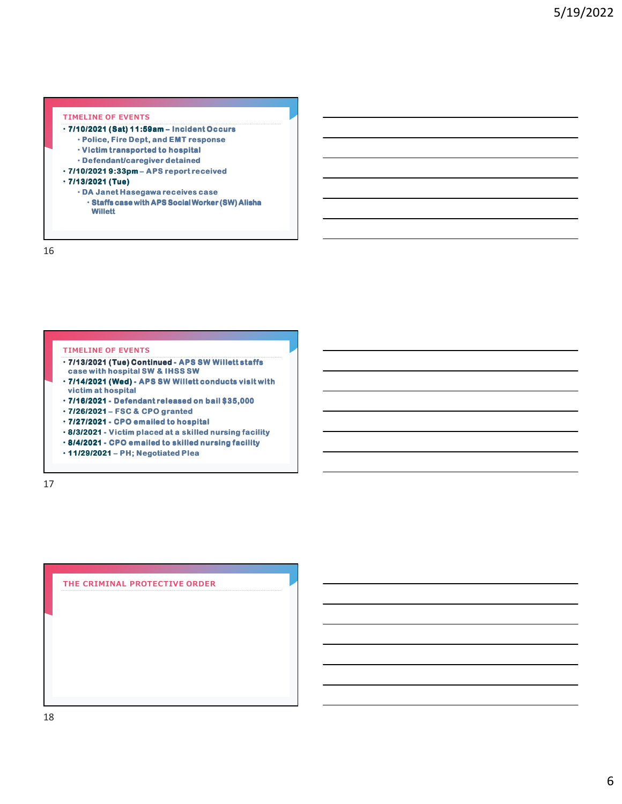## **TIMELINE OF EVENTS**

- **7/10/2021 (Sat) 11:59am Incident Occurs – Incident Occurs**
	- **Police, Fire Dept, and EMT response**
	- **Victim transported to hospital**
	- **Defendant/caregiver detained**
- **7/10/2021 9:33pm APS report received eport received**

#### • **7/13/2021 (Tue)**

- **DA Janet Hasegawa receives case**
	- **Staffs case with APS Social Worker (SW) Alisha Willett**

16

#### **TIMELINE OF EVENTS**

- **7/13/2021 (Tue) Continued APS SW Willett staffs - SW Willett staffs case with hospital SW & IHSS SW**
- $\cdot$  7/14/2021 (Wed) APS SW Willett conducts visit with **victim at hospital**
- **7/16/2021 Defendant released on bail \$35,000 - released on bail**
- **7/26/2021 FSC & CPO granted – FSC & CPO**
- **7/27/2021 CPO emailed to hospital - CPO emailed to hospital**
- **8/3/2021 Victim placed at a skilled nursing facility - Victim a skilled facility**
- **8/4/2021 CPO emailed to skilled nursing facility - CPO nursing**
- **11/29/2021 PH; Negotiated Plea – PH; Negotiated Plea**

17

**THE CRIMINAL PROTECTIVE ORDER**

18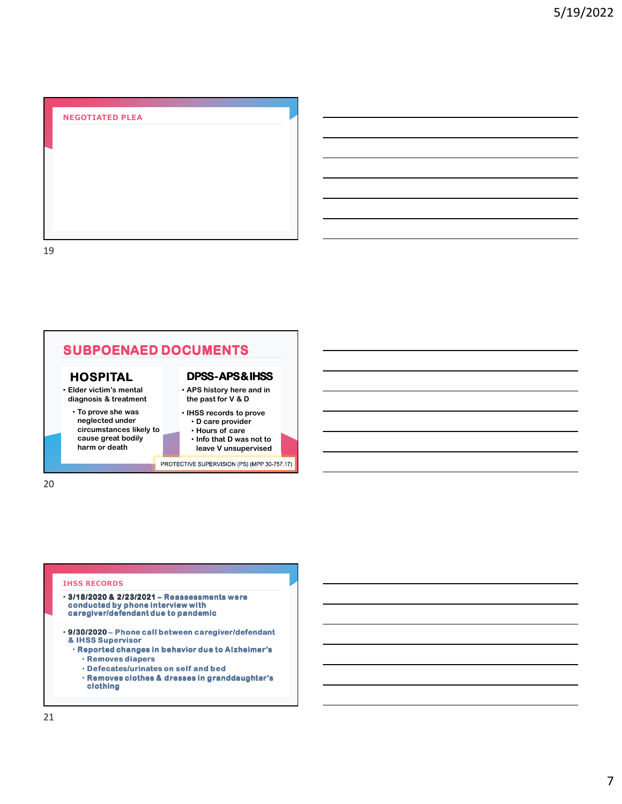## **NEGOTIATED PLEA**

19



20

#### **IHSS RECORDS**

- **3/18/2020 & 2/23/2021 Reassessments were – were conducted by phone interview with caregiver/defendant due to pandemic**
- **9/30/2020 Phone call between caregiver/defendant – Phone call between caregiver/defendant & IHSS Supervisor**
	- **Reported changes in behavior due to Alzheimer's**
		- **Removes diapers**
		- **Defecates/urinates on self and bed**
		- **Removes clothes & dresses in granddaughter's clothing**